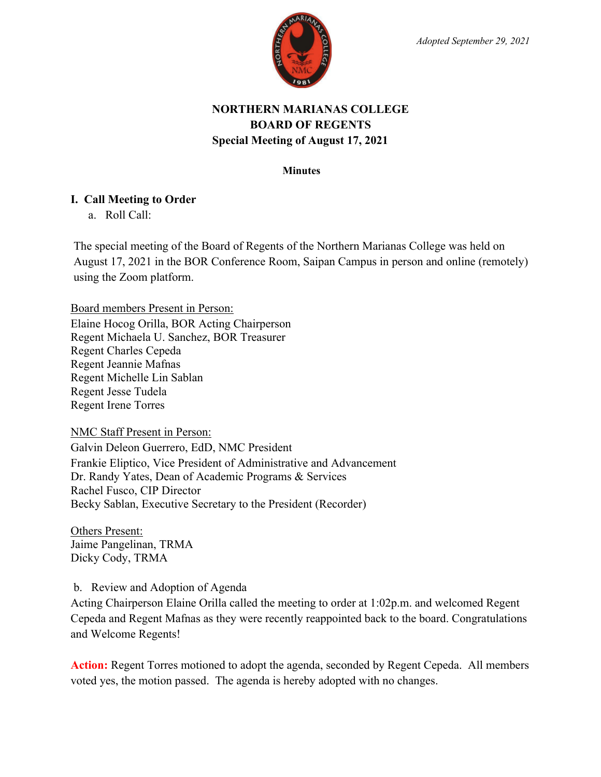

# **NORTHERN MARIANAS COLLEGE BOARD OF REGENTS Special Meeting of August 17, 2021**

#### **Minutes**

## **I. Call Meeting to Order**

a. Roll Call:

The special meeting of the Board of Regents of the Northern Marianas College was held on August 17, 2021 in the BOR Conference Room, Saipan Campus in person and online (remotely) using the Zoom platform.

Board members Present in Person:

Elaine Hocog Orilla, BOR Acting Chairperson Regent Michaela U. Sanchez, BOR Treasurer Regent Charles Cepeda Regent Jeannie Mafnas Regent Michelle Lin Sablan Regent Jesse Tudela Regent Irene Torres

NMC Staff Present in Person:

Galvin Deleon Guerrero, EdD, NMC President Frankie Eliptico, Vice President of Administrative and Advancement Dr. Randy Yates, Dean of Academic Programs & Services Rachel Fusco, CIP Director Becky Sablan, Executive Secretary to the President (Recorder)

Others Present: Jaime Pangelinan, TRMA Dicky Cody, TRMA

## b. Review and Adoption of Agenda

Acting Chairperson Elaine Orilla called the meeting to order at 1:02p.m. and welcomed Regent Cepeda and Regent Mafnas as they were recently reappointed back to the board. Congratulations and Welcome Regents!

**Action:** Regent Torres motioned to adopt the agenda, seconded by Regent Cepeda. All members voted yes, the motion passed. The agenda is hereby adopted with no changes.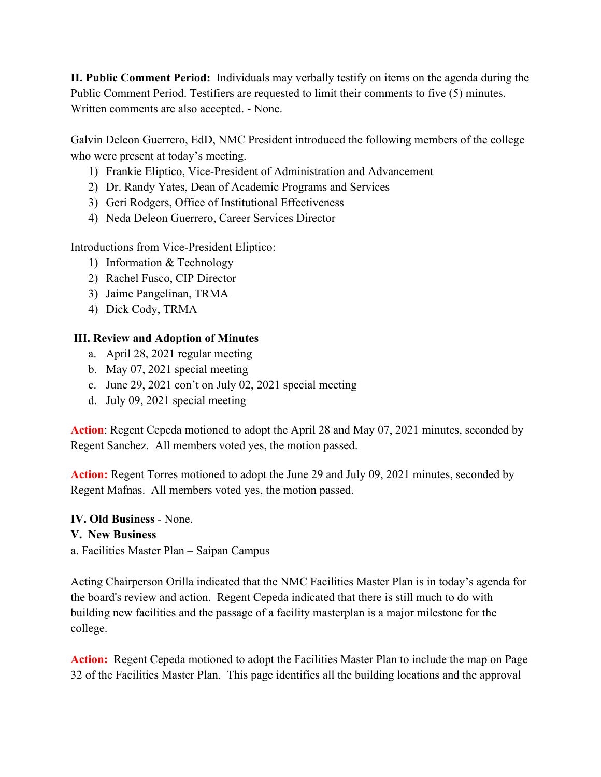**II. Public Comment Period:** Individuals may verbally testify on items on the agenda during the Public Comment Period. Testifiers are requested to limit their comments to five (5) minutes. Written comments are also accepted. - None.

Galvin Deleon Guerrero, EdD, NMC President introduced the following members of the college who were present at today's meeting.

- 1) Frankie Eliptico, Vice-President of Administration and Advancement
- 2) Dr. Randy Yates, Dean of Academic Programs and Services
- 3) Geri Rodgers, Office of Institutional Effectiveness
- 4) Neda Deleon Guerrero, Career Services Director

Introductions from Vice-President Eliptico:

- 1) Information & Technology
- 2) Rachel Fusco, CIP Director
- 3) Jaime Pangelinan, TRMA
- 4) Dick Cody, TRMA

#### **III. Review and Adoption of Minutes**

- a. April 28, 2021 regular meeting
- b. May 07, 2021 special meeting
- c. June 29, 2021 con't on July 02, 2021 special meeting
- d. July 09, 2021 special meeting

**Action**: Regent Cepeda motioned to adopt the April 28 and May 07, 2021 minutes, seconded by Regent Sanchez. All members voted yes, the motion passed.

**Action:** Regent Torres motioned to adopt the June 29 and July 09, 2021 minutes, seconded by Regent Mafnas. All members voted yes, the motion passed.

**IV. Old Business** - None. **V. New Business**  a. Facilities Master Plan – Saipan Campus

Acting Chairperson Orilla indicated that the NMC Facilities Master Plan is in today's agenda for the board's review and action. Regent Cepeda indicated that there is still much to do with building new facilities and the passage of a facility masterplan is a major milestone for the college.

**Action:** Regent Cepeda motioned to adopt the Facilities Master Plan to include the map on Page 32 of the Facilities Master Plan. This page identifies all the building locations and the approval